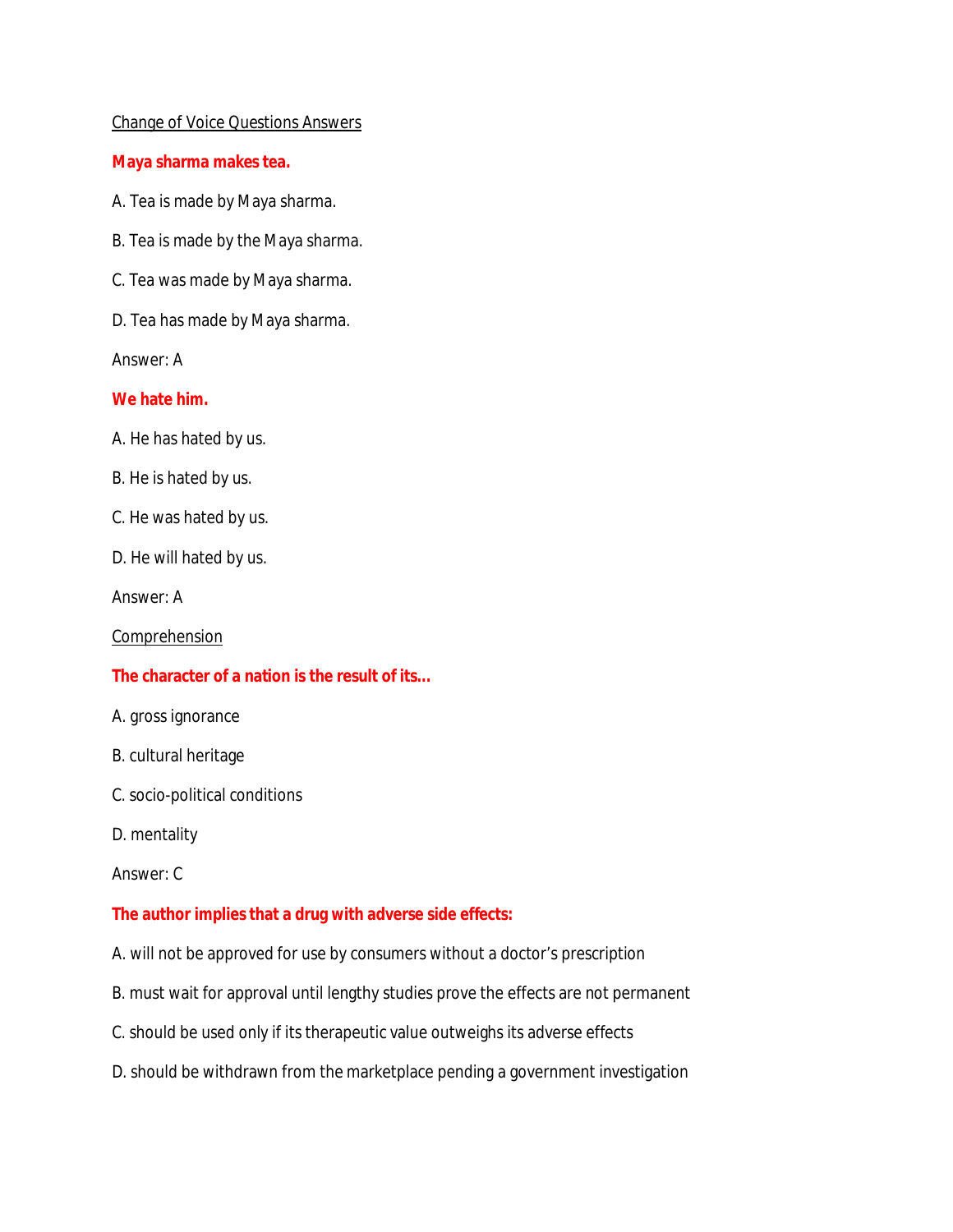### Change of Voice Questions Answers

**Maya sharma makes tea.**

- A. Tea is made by Maya sharma.
- B. Tea is made by the Maya sharma.
- C. Tea was made by Maya sharma.
- D. Tea has made by Maya sharma.

Answer: A

#### **We hate him.**

- A. He has hated by us.
- B. He is hated by us.
- C. He was hated by us.
- D. He will hated by us.

Answer: A

Comprehension

### **The character of a nation is the result of its...**

- A. gross ignorance
- B. cultural heritage
- C. socio-political conditions
- D. mentality

Answer: C

### **The author implies that a drug with adverse side effects:**

- A. will not be approved for use by consumers without a doctor's prescription
- B. must wait for approval until lengthy studies prove the effects are not permanent
- C. should be used only if its therapeutic value outweighs its adverse effects
- D. should be withdrawn from the marketplace pending a government investigation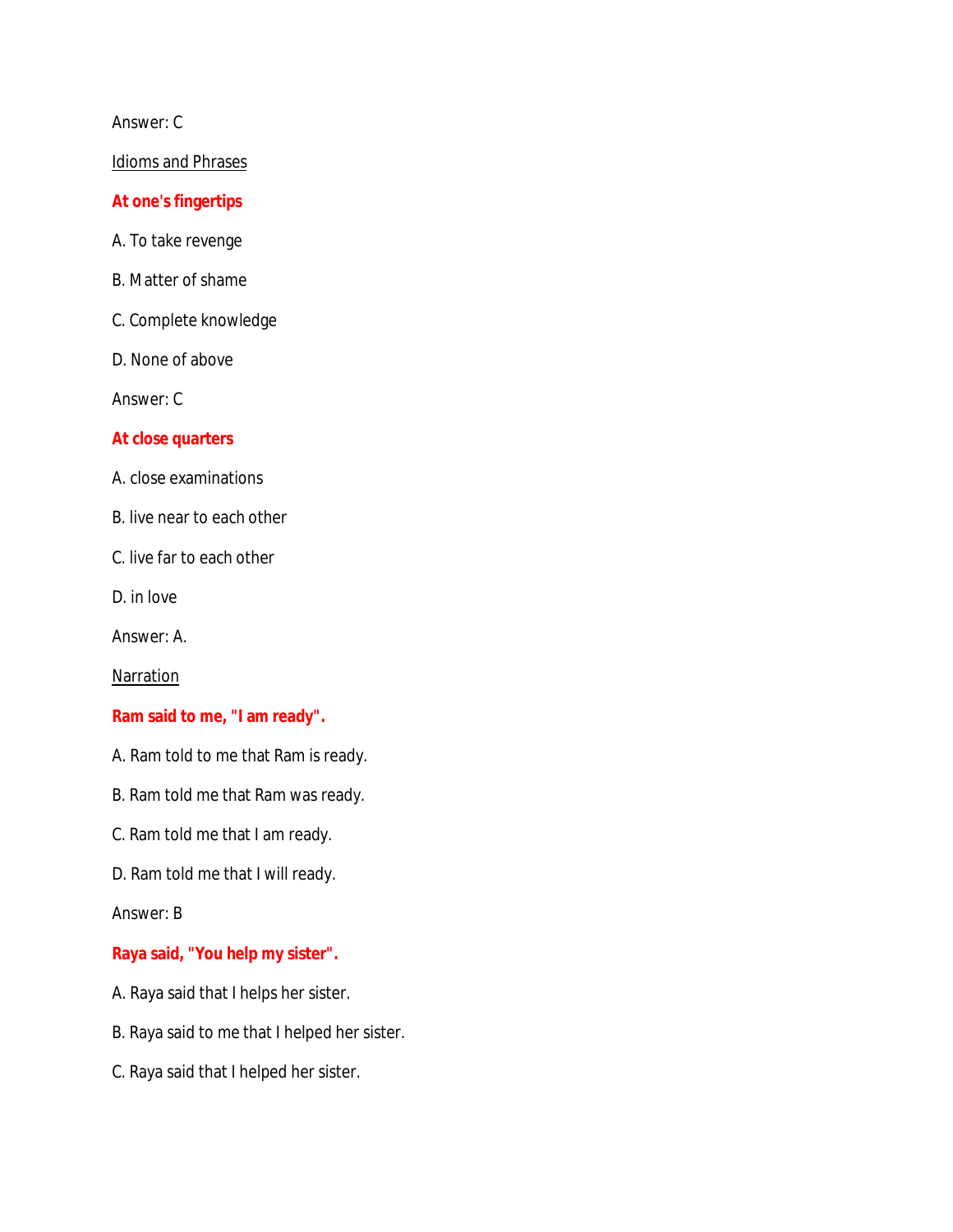## Answer: C

#### Idioms and Phrases

#### **At one's fingertips**

- A. To take revenge
- B. Matter of shame
- C. Complete knowledge
- D. None of above

Answer: C

#### **At close quarters**

- A. close examinations
- B. live near to each other
- C. live far to each other
- D. in love

Answer: A.

**Narration** 

**Ram said to me, "I am ready".**

- A. Ram told to me that Ram is ready.
- B. Ram told me that Ram was ready.
- C. Ram told me that I am ready.
- D. Ram told me that I will ready.

Answer: B

**Raya said, "You help my sister".**

- A. Raya said that I helps her sister.
- B. Raya said to me that I helped her sister.
- C. Raya said that I helped her sister.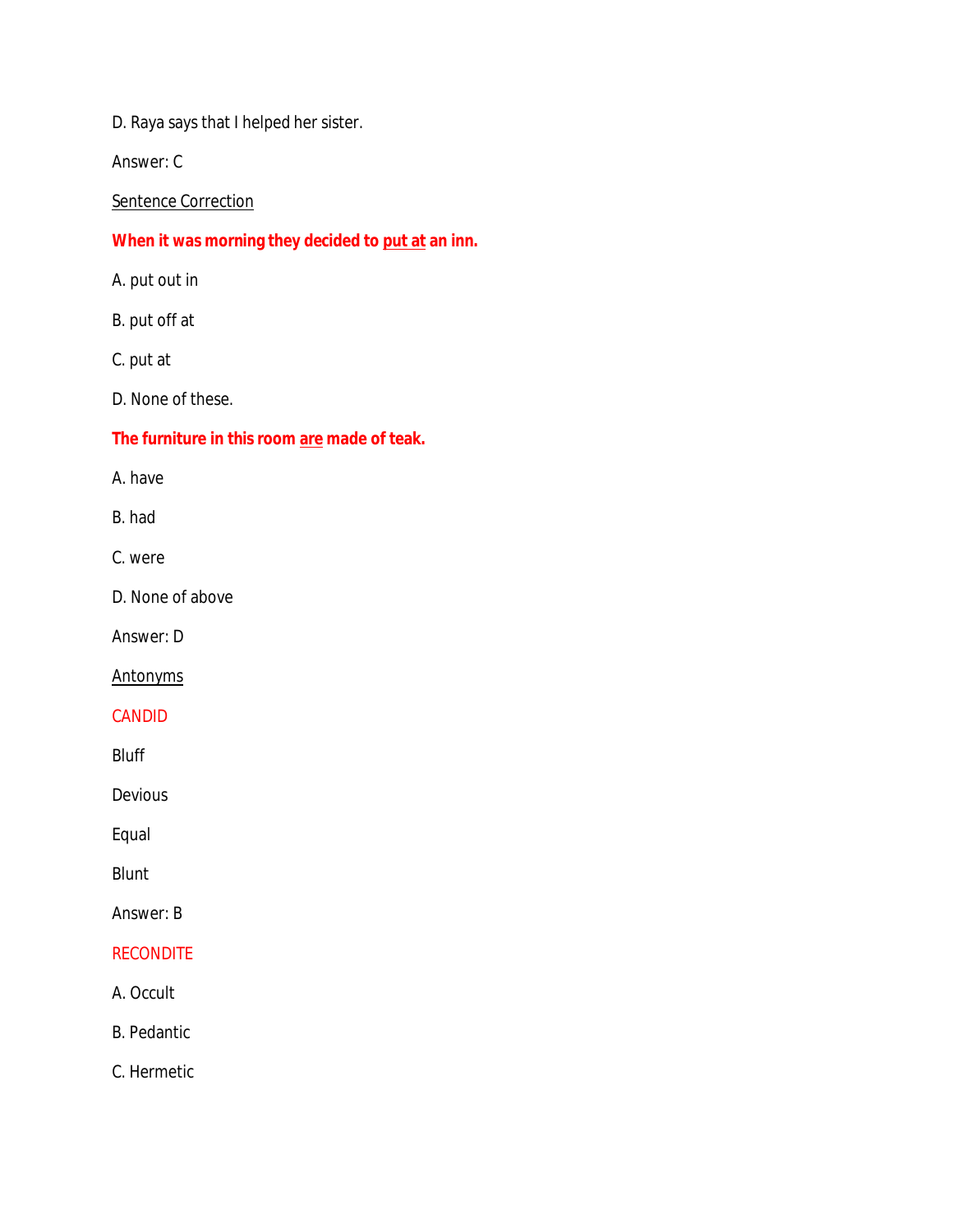D. Raya says that I helped her sister.

Answer: C

**Sentence Correction** 

**When it was morning they decided to put at an inn.**

A. put out in

B. put off at

C. put at

D. None of these.

**The furniture in this room are made of teak.**

A. have

B. had

C. were

D. None of above

Answer: D

**Antonyms** 

CANDID

Bluff

Devious

Equal

Blunt

Answer: B

## **RECONDITE**

A. Occult

B. Pedantic

C. Hermetic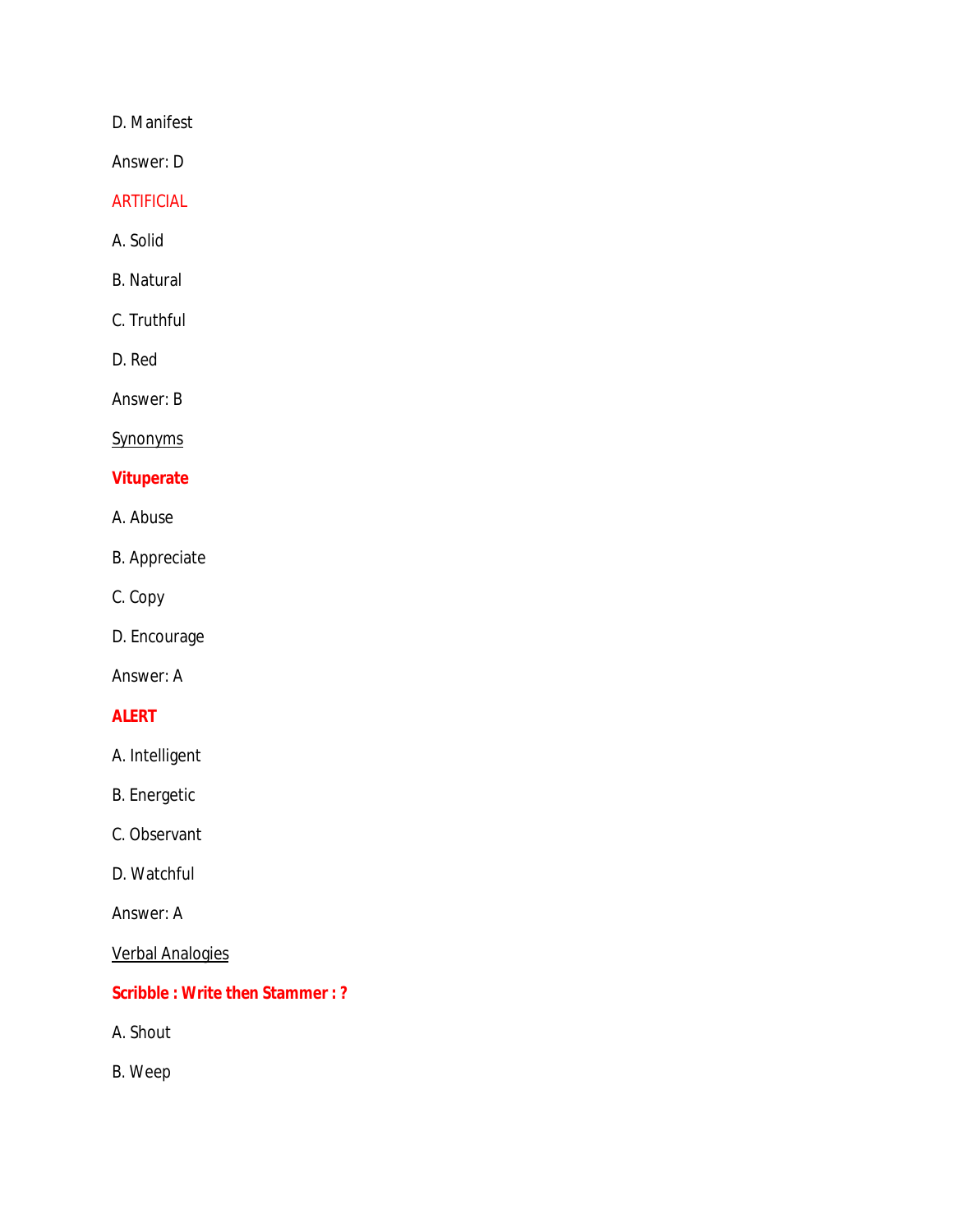D. Manifest

Answer: D

## ARTIFICIAL

A. Solid

B. Natural

C. Truthful

D. Red

Answer: B

**Synonyms** 

## **Vituperate**

- A. Abuse
- B. Appreciate
- C. Copy
- D. Encourage

Answer: A

## **ALERT**

A. Intelligent

B. Energetic

- C. Observant
- D. Watchful

Answer: A

Verbal Analogies

# **Scribble : Write then Stammer : ?**

A. Shout

B. Weep